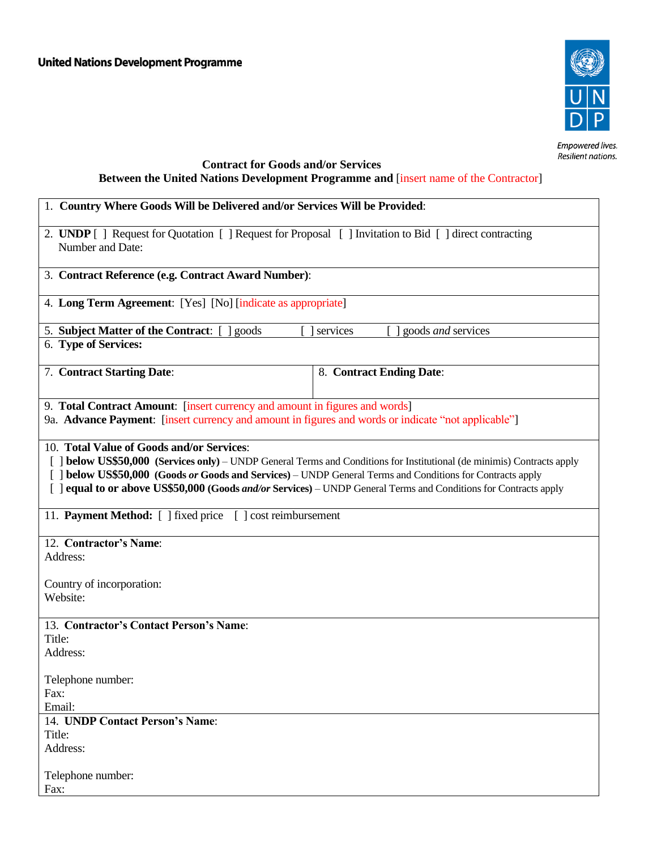

Empowered lives.<br>Resilient nations.

## **Contract for Goods and/or Services Between the United Nations Development Programme and** [insert name of the Contractor]

| 1. Country Where Goods Will be Delivered and/or Services Will be Provided:                                                                                                                                                                                                                                                                                                                             |                          |  |  |
|--------------------------------------------------------------------------------------------------------------------------------------------------------------------------------------------------------------------------------------------------------------------------------------------------------------------------------------------------------------------------------------------------------|--------------------------|--|--|
| 2. UNDP [] Request for Quotation [] Request for Proposal [] Invitation to Bid [] direct contracting<br>Number and Date:                                                                                                                                                                                                                                                                                |                          |  |  |
| 3. Contract Reference (e.g. Contract Award Number):                                                                                                                                                                                                                                                                                                                                                    |                          |  |  |
| 4. Long Term Agreement: [Yes] [No] [indicate as appropriate]                                                                                                                                                                                                                                                                                                                                           |                          |  |  |
| 5. Subject Matter of the Contract:  <br>] goods <i>and</i> services<br>goods<br>services                                                                                                                                                                                                                                                                                                               |                          |  |  |
| 6. Type of Services:                                                                                                                                                                                                                                                                                                                                                                                   |                          |  |  |
| 7. Contract Starting Date:                                                                                                                                                                                                                                                                                                                                                                             | 8. Contract Ending Date: |  |  |
| 9. Total Contract Amount: [insert currency and amount in figures and words]<br>9a. Advance Payment: [insert currency and amount in figures and words or indicate "not applicable"]                                                                                                                                                                                                                     |                          |  |  |
| 10. Total Value of Goods and/or Services:<br>[ ] below US\$50,000 (Services only) - UNDP General Terms and Conditions for Institutional (de minimis) Contracts apply<br>[ ] below US\$50,000 (Goods or Goods and Services) - UNDP General Terms and Conditions for Contracts apply<br>[ ] equal to or above US\$50,000 (Goods and/or Services) – UNDP General Terms and Conditions for Contracts apply |                          |  |  |
| 11. Payment Method: [ ] fixed price [ ] cost reimbursement                                                                                                                                                                                                                                                                                                                                             |                          |  |  |
| 12. Contractor's Name:<br>Address:                                                                                                                                                                                                                                                                                                                                                                     |                          |  |  |
| Country of incorporation:<br>Website:                                                                                                                                                                                                                                                                                                                                                                  |                          |  |  |
| 13. Contractor's Contact Person's Name:                                                                                                                                                                                                                                                                                                                                                                |                          |  |  |
| Title:                                                                                                                                                                                                                                                                                                                                                                                                 |                          |  |  |
| Address:                                                                                                                                                                                                                                                                                                                                                                                               |                          |  |  |
| Telephone number:<br>Fax:<br>Email:                                                                                                                                                                                                                                                                                                                                                                    |                          |  |  |
| 14. UNDP Contact Person's Name:                                                                                                                                                                                                                                                                                                                                                                        |                          |  |  |
| Title:                                                                                                                                                                                                                                                                                                                                                                                                 |                          |  |  |
| Address:                                                                                                                                                                                                                                                                                                                                                                                               |                          |  |  |
| Telephone number:<br>Fax:                                                                                                                                                                                                                                                                                                                                                                              |                          |  |  |